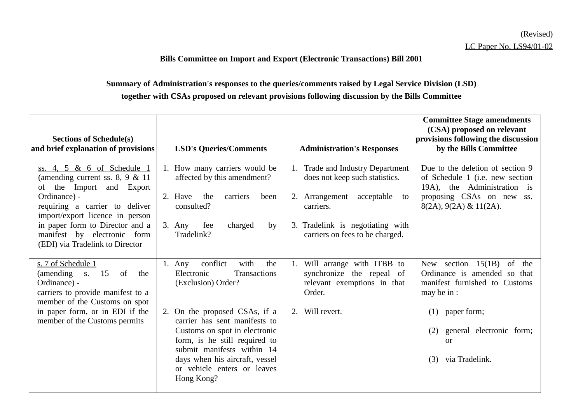## **Bills Committee on Import and Export (Electronic Transactions) Bill 2001**

## **Summary of Administration's responses to the queries/comments raised by Legal Service Division (LSD) together with CSAs proposed on relevant provisions following discussion by the Bills Committee**

| <b>Sections of Schedule(s)</b><br>and brief explanation of provisions                                                                                                                                                                                         | <b>LSD's Queries/Comments</b>                                                                                                                                                                                                                                                                                                          | <b>Administration's Responses</b>                                                                                                                                                            | <b>Committee Stage amendments</b><br>(CSA) proposed on relevant<br>provisions following the discussion<br>by the Bills Committee                                                                                         |
|---------------------------------------------------------------------------------------------------------------------------------------------------------------------------------------------------------------------------------------------------------------|----------------------------------------------------------------------------------------------------------------------------------------------------------------------------------------------------------------------------------------------------------------------------------------------------------------------------------------|----------------------------------------------------------------------------------------------------------------------------------------------------------------------------------------------|--------------------------------------------------------------------------------------------------------------------------------------------------------------------------------------------------------------------------|
| ss. 4, 5 & 6 of Schedule 1<br>(amending current ss. $8, 9 \& 11$<br>of the Import and Export<br>Ordinance) -<br>requiring a carrier to deliver<br>import/export licence in person<br>in paper form to Director and a<br>manifest by electronic form           | How many carriers would be<br>affected by this amendment?<br>2. Have<br>the<br>carriers<br>been<br>consulted?<br>$3.$ Any<br>fee<br>charged<br>by<br>Tradelink?                                                                                                                                                                        | Trade and Industry Department<br>1.<br>does not keep such statistics.<br>2. Arrangement acceptable<br>to<br>carriers.<br>3. Tradelink is negotiating with<br>carriers on fees to be charged. | Due to the deletion of section 9<br>of Schedule 1 ( <i>i.e.</i> new section<br>19A), the Administration is<br>proposing CSAs on new ss.<br>$8(2A), 9(2A) \& 11(2A).$                                                     |
| (EDI) via Tradelink to Director<br>s. 7 of Schedule 1<br>15<br>(amending)<br>of<br><b>S.</b><br>the<br>Ordinance) -<br>carriers to provide manifest to a<br>member of the Customs on spot<br>in paper form, or in EDI if the<br>member of the Customs permits | with<br>conflict<br>the<br>1. Any<br>Electronic<br>Transactions<br>(Exclusion) Order?<br>2. On the proposed CSAs, if a<br>carrier has sent manifests to<br>Customs on spot in electronic<br>form, is he still required to<br>submit manifests within 14<br>days when his aircraft, vessel<br>or vehicle enters or leaves<br>Hong Kong? | Will arrange with ITBB to<br>1.<br>synchronize the repeal of<br>relevant exemptions in that<br>Order.<br>2. Will revert.                                                                     | 15(1B)<br>section<br>of<br>New<br>the<br>Ordinance is amended so that<br>manifest furnished to Customs<br>may be in :<br>paper form;<br>(1)<br>general electronic form;<br>(2)<br><sub>or</sub><br>via Tradelink.<br>(3) |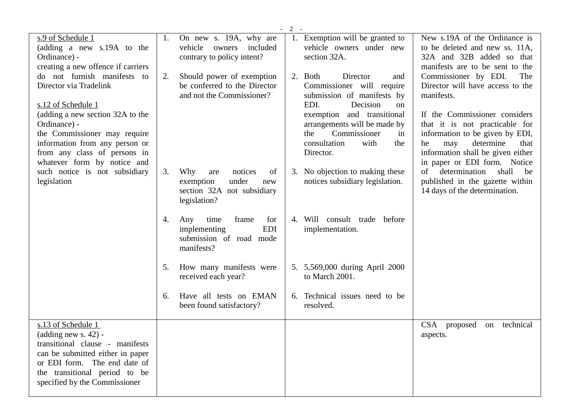|                                                                                                                                                                                                                                                                                                                                                        |                                                 |                                                                                        | $-2-$ |                                                                                                                                                                                                                                                                   |                                                                                                                                                                                                                                                                                                                                                                                                            |  |
|--------------------------------------------------------------------------------------------------------------------------------------------------------------------------------------------------------------------------------------------------------------------------------------------------------------------------------------------------------|-------------------------------------------------|----------------------------------------------------------------------------------------|-------|-------------------------------------------------------------------------------------------------------------------------------------------------------------------------------------------------------------------------------------------------------------------|------------------------------------------------------------------------------------------------------------------------------------------------------------------------------------------------------------------------------------------------------------------------------------------------------------------------------------------------------------------------------------------------------------|--|
| s.9 of Schedule 1<br>(adding a new s.19A to the<br>Ordinance) -                                                                                                                                                                                                                                                                                        | 1.<br>vehicle<br>contrary to policy intent?     | On new s. 19A, why are<br>owners<br>included                                           |       | 1. Exemption will be granted to<br>vehicle owners under new<br>section 32A.                                                                                                                                                                                       | New s.19A of the Ordinance is<br>to be deleted and new ss. 11A,<br>32A and 32B added so that<br>manifests are to be sent to the                                                                                                                                                                                                                                                                            |  |
| creating a new offence if carriers<br>do not furnish manifests to<br>Director via Tradelink<br>s.12 of Schedule 1<br>(adding a new section 32A to the<br>Ordinance) -<br>the Commissioner may require<br>information from any person or<br>from any class of persons in<br>whatever form by notice and<br>such notice is not subsidiary<br>legislation | 2.                                              | Should power of exemption<br>be conferred to the Director<br>and not the Commissioner? |       | 2. Both<br>Director<br>and<br>Commissioner will require<br>submission of manifests by<br>Decision<br>EDI.<br><sub>on</sub><br>exemption and transitional<br>arrangements will be made by<br>Commissioner<br>the<br>in<br>consultation<br>with<br>the<br>Director. | Commissioner by EDI.<br>The<br>Director will have access to the<br>manifests.<br>If the Commissioner considers<br>that it is not practicable for<br>information to be given by EDI,<br>determine<br>that<br>he<br>may<br>information shall be given either<br>in paper or EDI form. Notice<br>determination<br>shall<br>$\sigma$<br>be<br>published in the gazette within<br>14 days of the determination. |  |
|                                                                                                                                                                                                                                                                                                                                                        | 3.<br>Why<br>are<br>exemption<br>legislation?   | notices<br>of<br>under<br>new<br>section 32A not subsidiary                            |       | 3. No objection to making these<br>notices subsidiary legislation.                                                                                                                                                                                                |                                                                                                                                                                                                                                                                                                                                                                                                            |  |
|                                                                                                                                                                                                                                                                                                                                                        | time<br>4.<br>Any<br>implementing<br>manifests? | frame<br>for<br><b>EDI</b><br>submission of road mode                                  |       | 4. Will consult trade before<br>implementation.                                                                                                                                                                                                                   |                                                                                                                                                                                                                                                                                                                                                                                                            |  |
|                                                                                                                                                                                                                                                                                                                                                        | 5.<br>received each year?                       | How many manifests were                                                                |       | 5. 5,569,000 during April 2000<br>to March 2001.                                                                                                                                                                                                                  |                                                                                                                                                                                                                                                                                                                                                                                                            |  |
|                                                                                                                                                                                                                                                                                                                                                        | 6.<br>been found satisfactory?                  | Have all tests on EMAN                                                                 |       | 6. Technical issues need to be<br>resolved.                                                                                                                                                                                                                       |                                                                                                                                                                                                                                                                                                                                                                                                            |  |
| s.13 of Schedule 1<br>$(adding new s. 42) -$<br>transitional clause - manifests<br>can be submitted either in paper<br>or EDI form. The end date of<br>the transitional period to be<br>specified by the Commissioner                                                                                                                                  |                                                 |                                                                                        |       |                                                                                                                                                                                                                                                                   | <b>CSA</b><br>technical<br>proposed<br>on<br>aspects.                                                                                                                                                                                                                                                                                                                                                      |  |